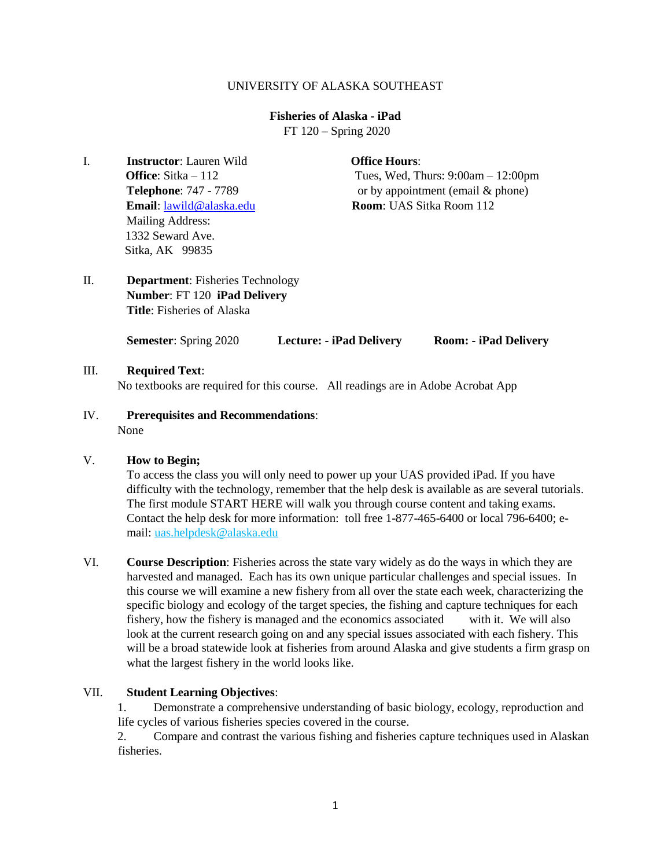#### UNIVERSITY OF ALASKA SOUTHEAST

#### **Fisheries of Alaska - iPad**

FT 120 – Spring 2020

I. **Instructor**: Lauren Wild **Office Hours**: Mailing Address: 1332 Seward Ave. Sitka, AK 99835

**Office**: Sitka – 112 Tues, Wed, Thurs: 9:00am – 12:00pm **Telephone**: 747 - 7789 or by appointment (email & phone) **Email**: lawild@alaska.edu **Room**: UAS Sitka Room 112

II. **Department**: Fisheries Technology  **Number**: FT 120 **iPad Delivery Title**: Fisheries of Alaska

**Semester**: Spring 2020 **Lecture: - iPad Delivery Room: - iPad Delivery**

III. **Required Text**:

No textbooks are required for this course. All readings are in Adobe Acrobat App

IV. **Prerequisites and Recommendations**: None

#### V. **How to Begin;**

To access the class you will only need to power up your UAS provided iPad. If you have difficulty with the technology, remember that the help desk is available as are several tutorials. The first module START HERE will walk you through course content and taking exams. Contact the help desk for more information: toll free 1-877-465-6400 or local 796-6400; email: uas.helpdesk@alaska.edu

VI. **Course Description**: Fisheries across the state vary widely as do the ways in which they are harvested and managed. Each has its own unique particular challenges and special issues. In this course we will examine a new fishery from all over the state each week, characterizing the specific biology and ecology of the target species, the fishing and capture techniques for each fishery, how the fishery is managed and the economics associated with it. We will also look at the current research going on and any special issues associated with each fishery. This will be a broad statewide look at fisheries from around Alaska and give students a firm grasp on what the largest fishery in the world looks like.

#### VII. **Student Learning Objectives**:

1. Demonstrate a comprehensive understanding of basic biology, ecology, reproduction and life cycles of various fisheries species covered in the course.

2. Compare and contrast the various fishing and fisheries capture techniques used in Alaskan fisheries.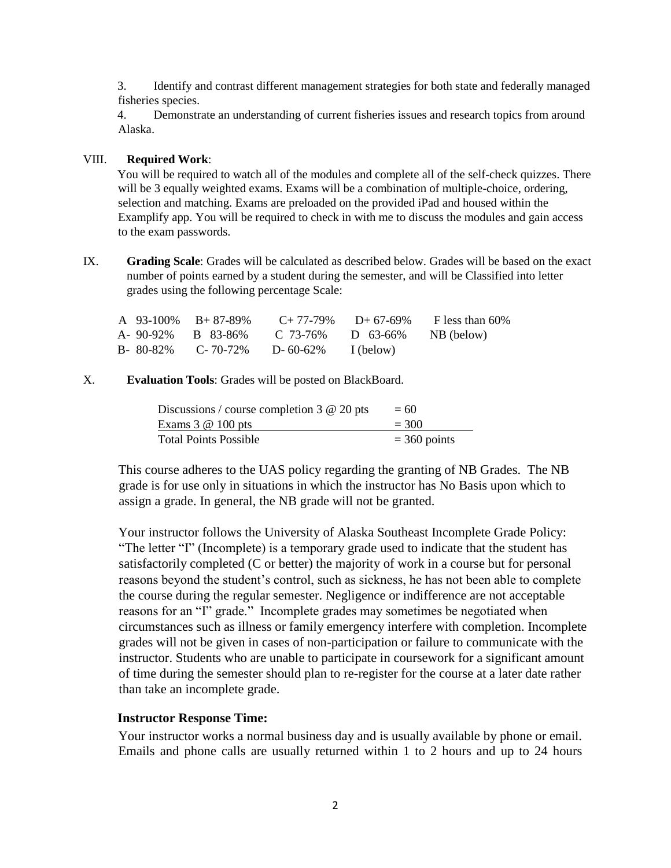3. Identify and contrast different management strategies for both state and federally managed fisheries species.

4. Demonstrate an understanding of current fisheries issues and research topics from around Alaska.

# VIII. **Required Work**:

You will be required to watch all of the modules and complete all of the self-check quizzes. There will be 3 equally weighted exams. Exams will be a combination of multiple-choice, ordering, selection and matching. Exams are preloaded on the provided iPad and housed within the Examplify app. You will be required to check in with me to discuss the modules and gain access to the exam passwords.

IX. **Grading Scale**: Grades will be calculated as described below. Grades will be based on the exact number of points earned by a student during the semester, and will be Classified into letter grades using the following percentage Scale:

| A $93-100\%$ B + $87-89\%$ |                 | $C+77-79\%$  | $D+67-69\%$       | F less than $60\%$ |
|----------------------------|-----------------|--------------|-------------------|--------------------|
| A- 90-92% B 83-86%         |                 | C 73-76%     | $D \quad 63-66\%$ | NB (below)         |
| B-80-82\%                  | $C - 70 - 72\%$ | D- $60-62\%$ | I (below)         |                    |

# X. **Evaluation Tools**: Grades will be posted on BlackBoard.

| Discussions / course completion $3 \& 20$ pts | $= 60$         |
|-----------------------------------------------|----------------|
| Exams $3 \& 100$ pts                          | $= 300$        |
| <b>Total Points Possible</b>                  | $=$ 360 points |

This course adheres to the UAS policy regarding the granting of NB Grades. The NB grade is for use only in situations in which the instructor has No Basis upon which to assign a grade. In general, the NB grade will not be granted.

Your instructor follows the University of Alaska Southeast Incomplete Grade Policy: "The letter "I" (Incomplete) is a temporary grade used to indicate that the student has satisfactorily completed (C or better) the majority of work in a course but for personal reasons beyond the student's control, such as sickness, he has not been able to complete the course during the regular semester. Negligence or indifference are not acceptable reasons for an "I" grade." Incomplete grades may sometimes be negotiated when circumstances such as illness or family emergency interfere with completion. Incomplete grades will not be given in cases of non-participation or failure to communicate with the instructor. Students who are unable to participate in coursework for a significant amount of time during the semester should plan to re-register for the course at a later date rather than take an incomplete grade.

# **Instructor Response Time:**

Your instructor works a normal business day and is usually available by phone or email. Emails and phone calls are usually returned within 1 to 2 hours and up to 24 hours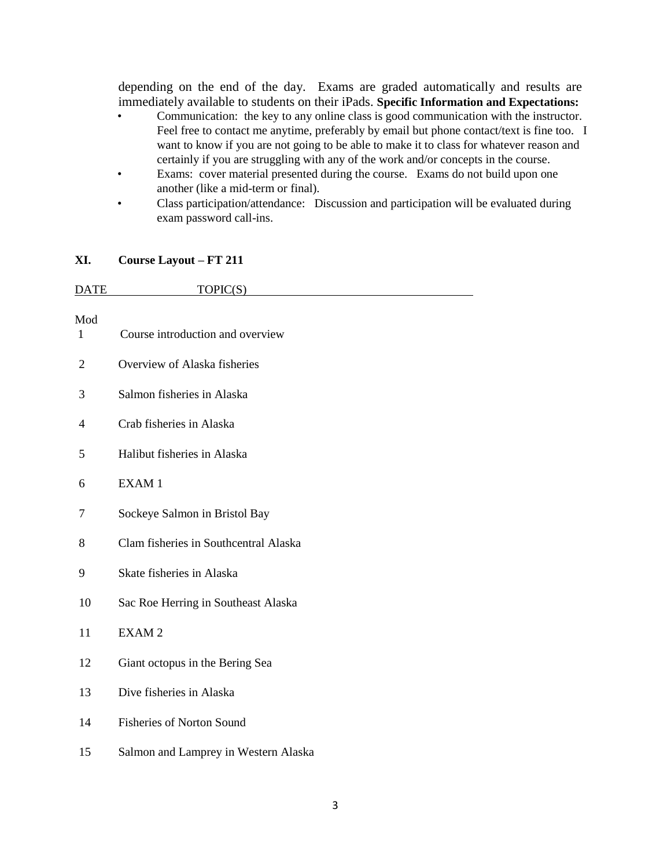depending on the end of the day. Exams are graded automatically and results are immediately available to students on their iPads. **Specific Information and Expectations:** 

- Communication: the key to any online class is good communication with the instructor. Feel free to contact me anytime, preferably by email but phone contact/text is fine too. I want to know if you are not going to be able to make it to class for whatever reason and certainly if you are struggling with any of the work and/or concepts in the course.
- Exams: cover material presented during the course. Exams do not build upon one another (like a mid-term or final).
- Class participation/attendance: Discussion and participation will be evaluated during exam password call-ins.

# **XI. Course Layout – FT 211**

| <b>DATE</b>         | TOPIC(S)                              |
|---------------------|---------------------------------------|
| Mod<br>$\mathbf{1}$ | Course introduction and overview      |
| $\overline{2}$      | Overview of Alaska fisheries          |
| 3                   | Salmon fisheries in Alaska            |
| 4                   | Crab fisheries in Alaska              |
| 5                   | Halibut fisheries in Alaska           |
| 6                   | EXAM1                                 |
| 7                   | Sockeye Salmon in Bristol Bay         |
| 8                   | Clam fisheries in Southcentral Alaska |
| 9                   | Skate fisheries in Alaska             |
| 10                  | Sac Roe Herring in Southeast Alaska   |
| 11                  | EXAM <sub>2</sub>                     |
| 12                  | Giant octopus in the Bering Sea       |
| 13                  | Dive fisheries in Alaska              |
| 14                  | <b>Fisheries of Norton Sound</b>      |
| 15                  | Salmon and Lamprey in Western Alaska  |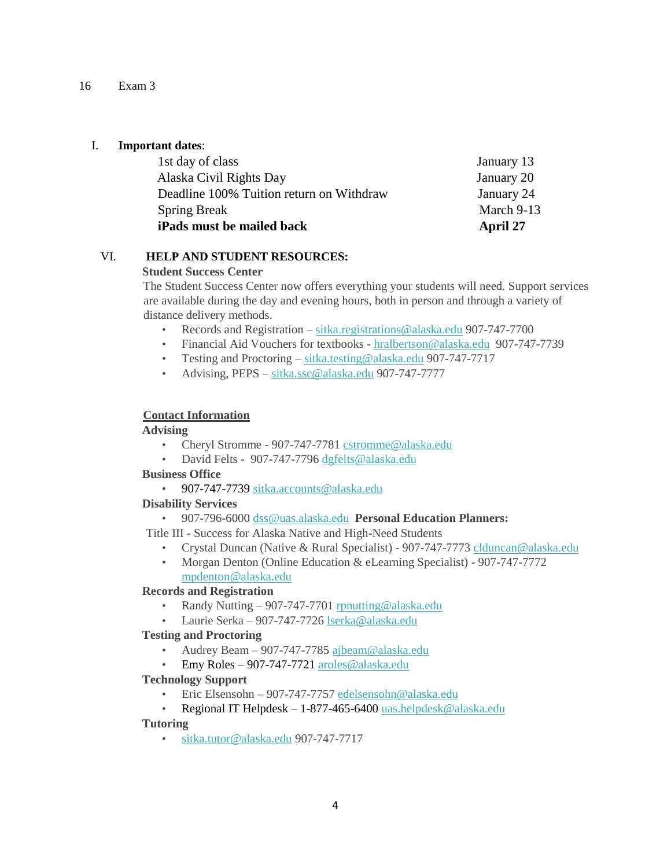#### 16 Exam 3

# I. **Important dates**:

| iPads must be mailed back                | April 27   |
|------------------------------------------|------------|
| <b>Spring Break</b>                      | March 9-13 |
| Deadline 100% Tuition return on Withdraw | January 24 |
| Alaska Civil Rights Day                  | January 20 |
| 1st day of class                         | January 13 |

# VI. **HELP AND STUDENT RESOURCES:**

# **Student Success Center**

The Student Success Center now offers everything your students will need. Support services are available during the day and evening hours, both in person and through a variety of distance delivery methods.

- Records and Registration sitka.registrations@alaska.edu 907-747-7700
- Financial Aid Vouchers for textbooks hralbertson@alaska.edu 907-747-7739
- Testing and Proctoring sitka.testing@alaska.edu 907-747-7717
- Advising, PEPS sitka.ssc@alaska.edu 907-747-7777

# **Contact Information**

### **Advising**

- Cheryl Stromme 907-747-7781 cstromme@alaska.edu
- David Felts 907-747-7796 dgfelts@alaska.edu

# **Business Office**

• 907-747-7739 sitka.accounts@alaska.edu

# **Disability Services**

• 907-796-6000 dss@uas.alaska.edu **Personal Education Planners:** 

Title III - Success for Alaska Native and High-Need Students

- Crystal Duncan (Native & Rural Specialist) 907-747-7773 clduncan@alaska.edu
- Morgan Denton (Online Education & eLearning Specialist) 907-747-7772 mpdenton@alaska.edu

# **Records and Registration**

- Randy Nutting 907-747-7701 rpnutting@alaska.edu
- Laurie Serka 907-747-7726 lserka@alaska.edu

# **Testing and Proctoring**

- Audrey Beam 907-747-7785 ajbeam@alaska.edu
- Emy Roles 907-747-7721 aroles@alaska.edu

# **Technology Support**

- Eric Elsensohn 907-747-7757 edelsensohn@alaska.edu
- Regional IT Helpdesk 1-877-465-6400 uas.helpdesk@alaska.edu

# **Tutoring**

• sitka.tutor@alaska.edu 907-747-7717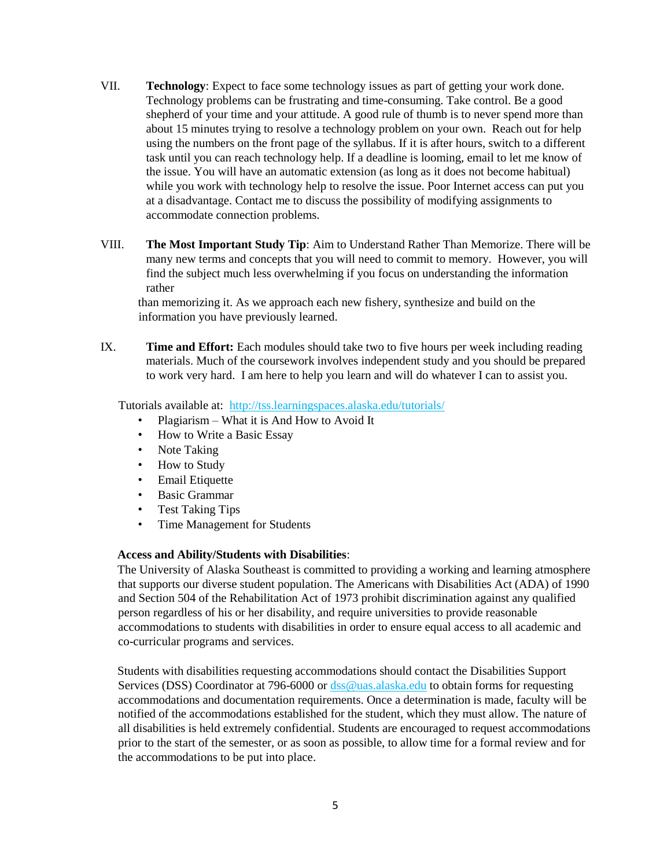- VII. **Technology**: Expect to face some technology issues as part of getting your work done. Technology problems can be frustrating and time-consuming. Take control. Be a good shepherd of your time and your attitude. A good rule of thumb is to never spend more than about 15 minutes trying to resolve a technology problem on your own. Reach out for help using the numbers on the front page of the syllabus. If it is after hours, switch to a different task until you can reach technology help. If a deadline is looming, email to let me know of the issue. You will have an automatic extension (as long as it does not become habitual) while you work with technology help to resolve the issue. Poor Internet access can put you at a disadvantage. Contact me to discuss the possibility of modifying assignments to accommodate connection problems.
- VIII. **The Most Important Study Tip**: Aim to Understand Rather Than Memorize. There will be many new terms and concepts that you will need to commit to memory. However, you will find the subject much less overwhelming if you focus on understanding the information rather

than memorizing it. As we approach each new fishery, synthesize and build on the information you have previously learned.

IX. **Time and Effort:** Each modules should take two to five hours per week including reading materials. Much of the coursework involves independent study and you should be prepared to work very hard. I am here to help you learn and will do whatever I can to assist you.

Tutorials available at: <http://tss.learningspaces.alaska.edu/tutorials/>

- Plagiarism What it is And How to Avoid It
- How to Write a Basic Essay
- Note Taking
- How to Study
- Email Etiquette
- Basic Grammar
- Test Taking Tips
- Time Management for Students

#### **Access and Ability/Students with Disabilities**:

The University of Alaska Southeast is committed to providing a working and learning atmosphere that supports our diverse student population. The Americans with Disabilities Act (ADA) of 1990 and Section 504 of the Rehabilitation Act of 1973 prohibit discrimination against any qualified person regardless of his or her disability, and require universities to provide reasonable accommodations to students with disabilities in order to ensure equal access to all academic and co-curricular programs and services.

Students with disabilities requesting accommodations should contact the Disabilities Support Services (DSS) Coordinator at 796-6000 or dss@uas.alaska.edu to obtain forms for requesting accommodations and documentation requirements. Once a determination is made, faculty will be notified of the accommodations established for the student, which they must allow. The nature of all disabilities is held extremely confidential. Students are encouraged to request accommodations prior to the start of the semester, or as soon as possible, to allow time for a formal review and for the accommodations to be put into place.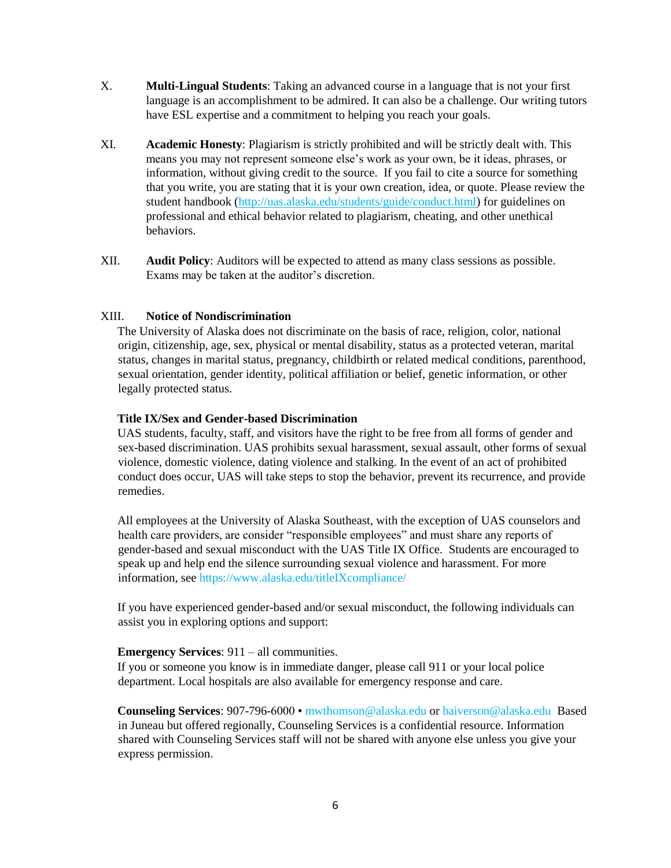- X. **Multi-Lingual Students**: Taking an advanced course in a language that is not your first language is an accomplishment to be admired. It can also be a challenge. Our writing tutors have ESL expertise and a commitment to helping you reach your goals.
- XI. **Academic Honesty**: Plagiarism is strictly prohibited and will be strictly dealt with. This means you may not represent someone else's work as your own, be it ideas, phrases, or information, without giving credit to the source. If you fail to cite a source for something that you write, you are stating that it is your own creation, idea, or quote. Please review the student handbook [\(http://uas.alaska.edu/students/guide/conduct.html\)](http://uas.alaska.edu/students/guide/conduct.html) for guidelines on professional and ethical behavior related to plagiarism, cheating, and other unethical behaviors.
- XII. **Audit Policy**: Auditors will be expected to attend as many class sessions as possible. Exams may be taken at the auditor's discretion.

#### XIII. **Notice of Nondiscrimination**

The University of Alaska does not discriminate on the basis of race, religion, color, national origin, citizenship, age, sex, physical or mental disability, status as a protected veteran, marital status, changes in marital status, pregnancy, childbirth or related medical conditions, parenthood, sexual orientation, gender identity, political affiliation or belief, genetic information, or other legally protected status.

#### **Title IX/Sex and Gender-based Discrimination**

UAS students, faculty, staff, and visitors have the right to be free from all forms of gender and sex-based discrimination. UAS prohibits sexual harassment, sexual assault, other forms of sexual violence, domestic violence, dating violence and stalking. In the event of an act of prohibited conduct does occur, UAS will take steps to stop the behavior, prevent its recurrence, and provide remedies.

All employees at the University of Alaska Southeast, with the exception of UAS counselors and health care providers, are consider "responsible employees" and must share any reports of gender-based and sexual misconduct with the UAS Title IX Office. Students are encouraged to speak up and help end the silence surrounding sexual violence and harassment. For more information, see https://www.alaska.edu/titleIXcompliance/

If you have experienced gender-based and/or sexual misconduct, the following individuals can assist you in exploring options and support:

#### **Emergency Services**: 911 – all communities.

If you or someone you know is in immediate danger, please call 911 or your local police department. Local hospitals are also available for emergency response and care.

**Counseling Services**: 907-796-6000 ▪ mwthomson@alaska.edu or baiverson@alaska.edu Based in Juneau but offered regionally, Counseling Services is a confidential resource. Information shared with Counseling Services staff will not be shared with anyone else unless you give your express permission.